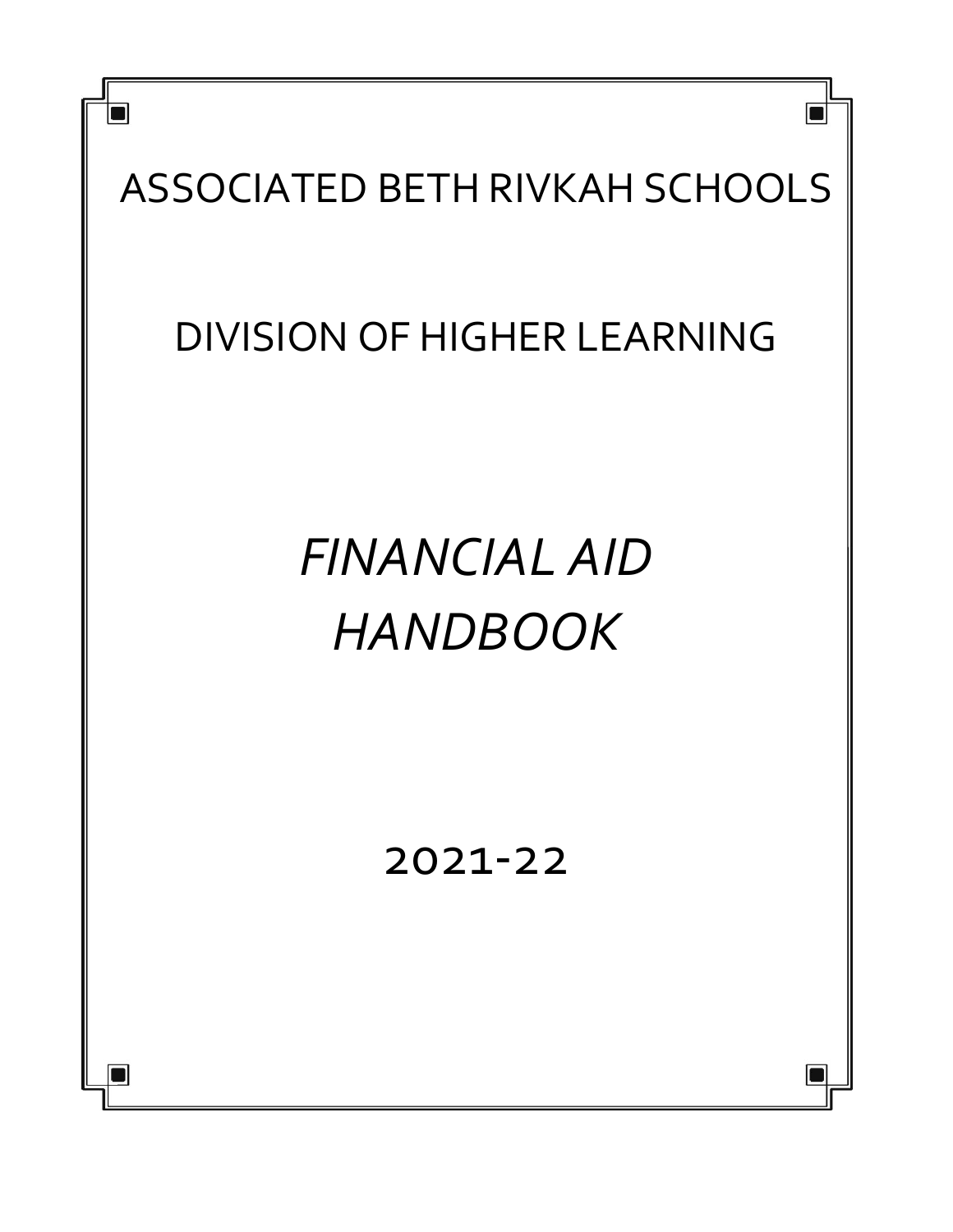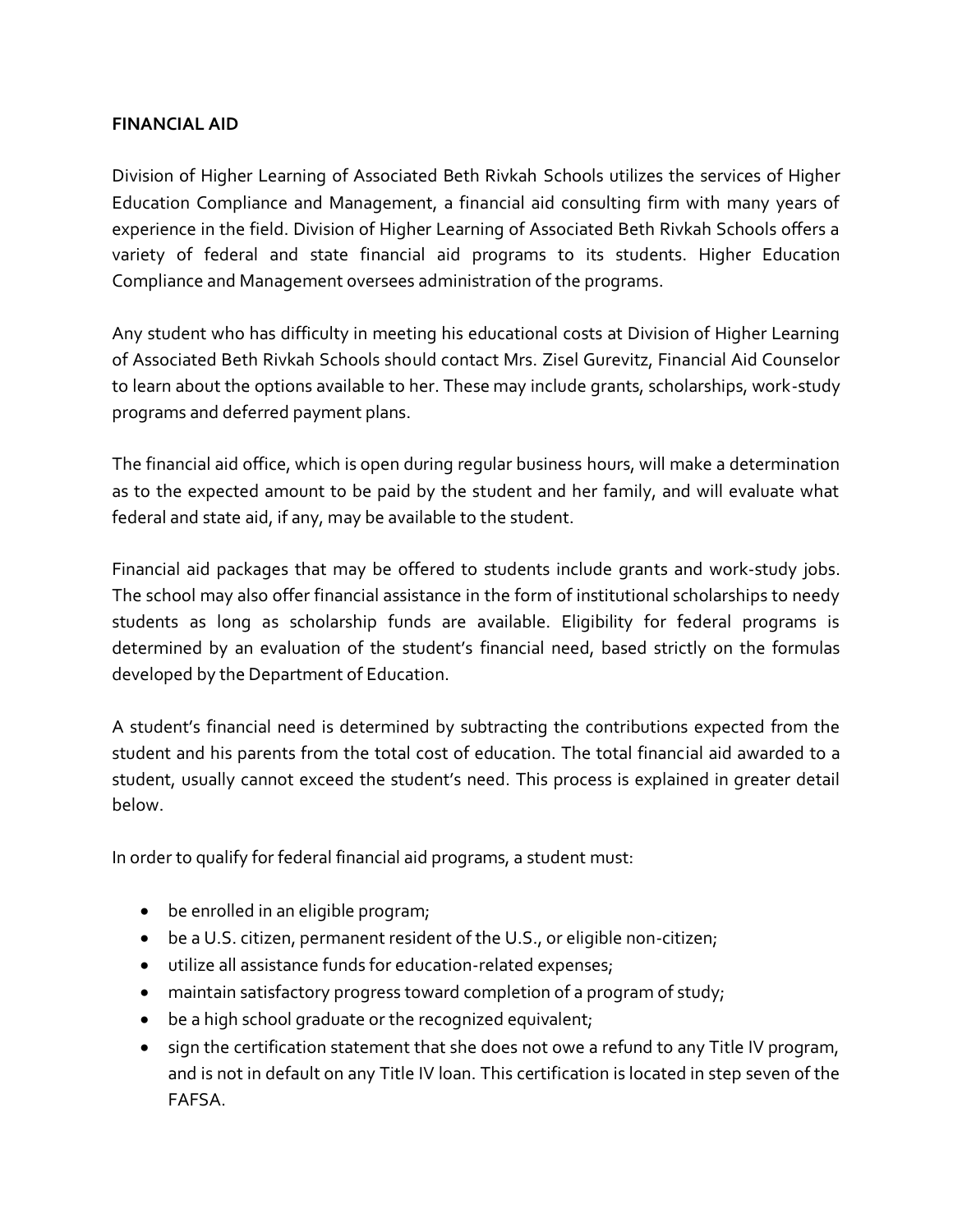### **FINANCIAL AID**

Division of Higher Learning of Associated Beth Rivkah Schools utilizes the services of Higher Education Compliance and Management, a financial aid consulting firm with many years of experience in the field. Division of Higher Learning of Associated Beth Rivkah Schools offers a variety of federal and state financial aid programs to its students. Higher Education Compliance and Management oversees administration of the programs.

Any student who has difficulty in meeting his educational costs at Division of Higher Learning of Associated Beth Rivkah Schools should contact Mrs. Zisel Gurevitz, Financial Aid Counselor to learn about the options available to her. These may include grants, scholarships, work-study programs and deferred payment plans.

The financial aid office, which is open during regular business hours, will make a determination as to the expected amount to be paid by the student and her family, and will evaluate what federal and state aid, if any, may be available to the student.

Financial aid packages that may be offered to students include grants and work-study jobs. The school may also offer financial assistance in the form of institutional scholarships to needy students as long as scholarship funds are available. Eligibility for federal programs is determined by an evaluation of the student's financial need, based strictly on the formulas developed by the Department of Education.

A student's financial need is determined by subtracting the contributions expected from the student and his parents from the total cost of education. The total financial aid awarded to a student, usually cannot exceed the student's need. This process is explained in greater detail below.

In order to qualify for federal financial aid programs, a student must:

- be enrolled in an eligible program;
- be a U.S. citizen, permanent resident of the U.S., or eligible non-citizen;
- utilize all assistance funds for education-related expenses;
- maintain satisfactory progress toward completion of a program of study;
- be a high school graduate or the recognized equivalent;
- sign the certification statement that she does not owe a refund to any Title IV program, and is not in default on any Title IV loan. This certification is located in step seven of the FAFSA.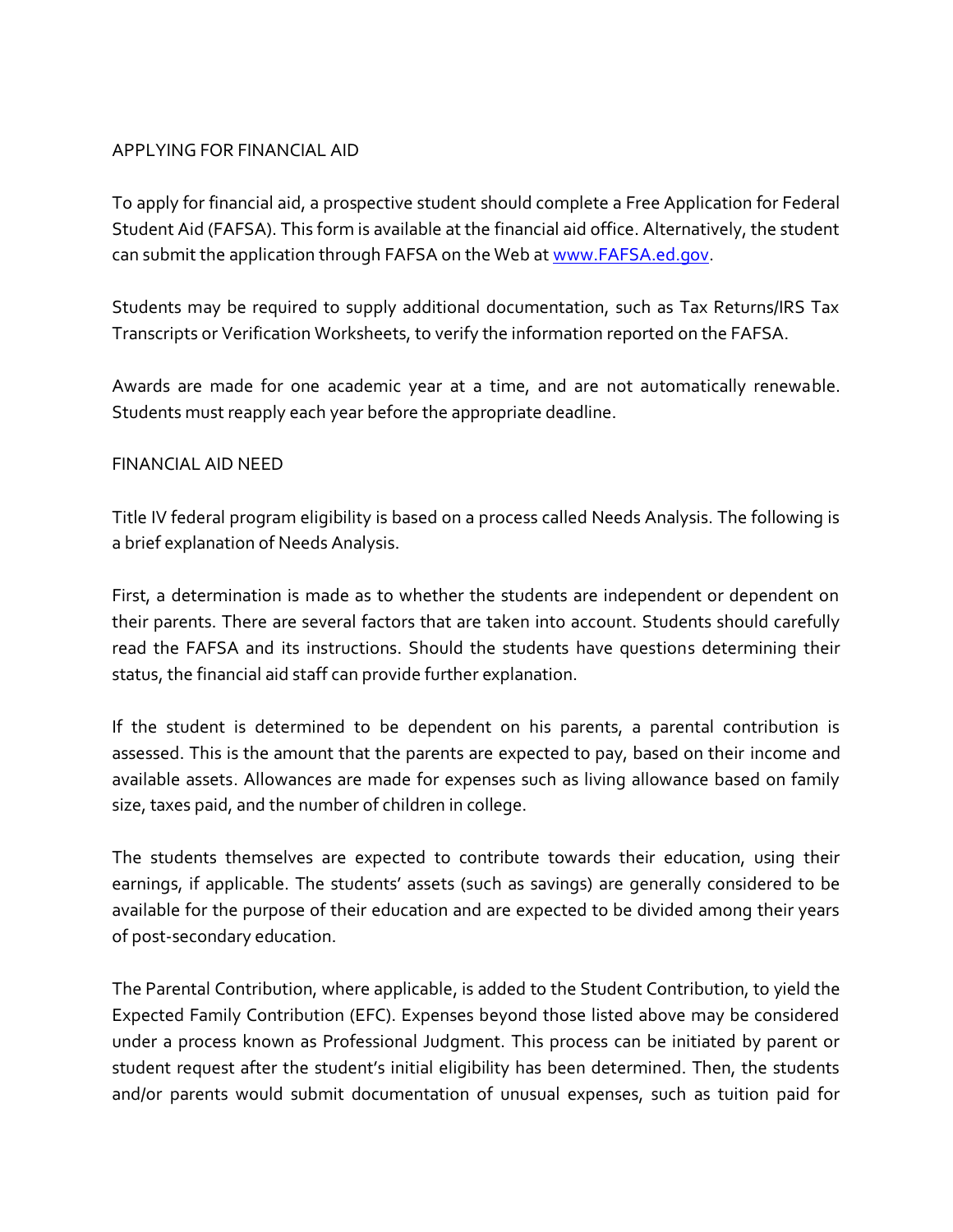#### APPLYING FOR FINANCIAL AID

To apply for financial aid, a prospective student should complete a Free Application for Federal Student Aid (FAFSA). This form is available at the financial aid office. Alternatively, the student can submit the application through FAFSA on the Web at [www.FAFSA.ed.gov.](www.FAFSA.ed.gov)

Students may be required to supply additional documentation, such as Tax Returns/IRS Tax Transcripts or Verification Worksheets, to verify the information reported on the FAFSA.

Awards are made for one academic year at a time, and are not automatically renewable. Students must reapply each year before the appropriate deadline.

#### FINANCIAL AID NEED

Title IV federal program eligibility is based on a process called Needs Analysis. The following is a brief explanation of Needs Analysis.

First, a determination is made as to whether the students are independent or dependent on their parents. There are several factors that are taken into account. Students should carefully read the FAFSA and its instructions. Should the students have questions determining their status, the financial aid staff can provide further explanation.

If the student is determined to be dependent on his parents, a parental contribution is assessed. This is the amount that the parents are expected to pay, based on their income and available assets. Allowances are made for expenses such as living allowance based on family size, taxes paid, and the number of children in college.

The students themselves are expected to contribute towards their education, using their earnings, if applicable. The students' assets (such as savings) are generally considered to be available for the purpose of their education and are expected to be divided among their years of post-secondary education.

The Parental Contribution, where applicable, is added to the Student Contribution, to yield the Expected Family Contribution (EFC). Expenses beyond those listed above may be considered under a process known as Professional Judgment. This process can be initiated by parent or student request after the student's initial eligibility has been determined. Then, the students and/or parents would submit documentation of unusual expenses, such as tuition paid for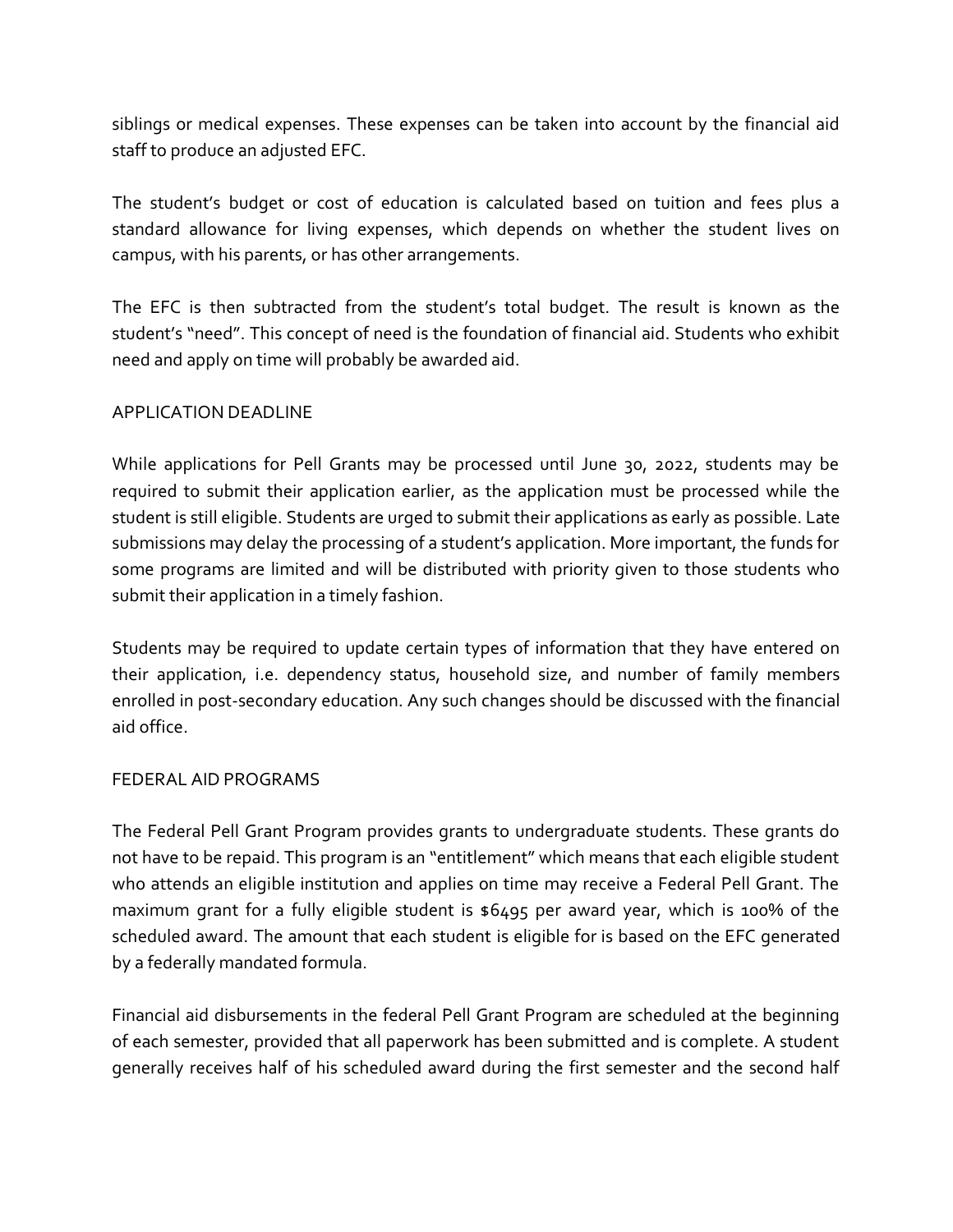siblings or medical expenses. These expenses can be taken into account by the financial aid staff to produce an adjusted EFC.

The student's budget or cost of education is calculated based on tuition and fees plus a standard allowance for living expenses, which depends on whether the student lives on campus, with his parents, or has other arrangements.

The EFC is then subtracted from the student's total budget. The result is known as the student's "need". This concept of need is the foundation of financial aid. Students who exhibit need and apply on time will probably be awarded aid.

### APPLICATION DEADLINE

While applications for Pell Grants may be processed until June 30, 2022, students may be required to submit their application earlier, as the application must be processed while the student is still eligible. Students are urged to submit their applications as early as possible. Late submissions may delay the processing of a student's application. More important, the funds for some programs are limited and will be distributed with priority given to those students who submit their application in a timely fashion.

Students may be required to update certain types of information that they have entered on their application, i.e. dependency status, household size, and number of family members enrolled in post-secondary education. Any such changes should be discussed with the financial aid office.

### FEDERAL AID PROGRAMS

The Federal Pell Grant Program provides grants to undergraduate students. These grants do not have to be repaid. This program is an "entitlement" which means that each eligible student who attends an eligible institution and applies on time may receive a Federal Pell Grant. The maximum grant for a fully eligible student is \$6495 per award year, which is 100% of the scheduled award. The amount that each student is eligible for is based on the EFC generated by a federally mandated formula.

Financial aid disbursements in the federal Pell Grant Program are scheduled at the beginning of each semester, provided that all paperwork has been submitted and is complete. A student generally receives half of his scheduled award during the first semester and the second half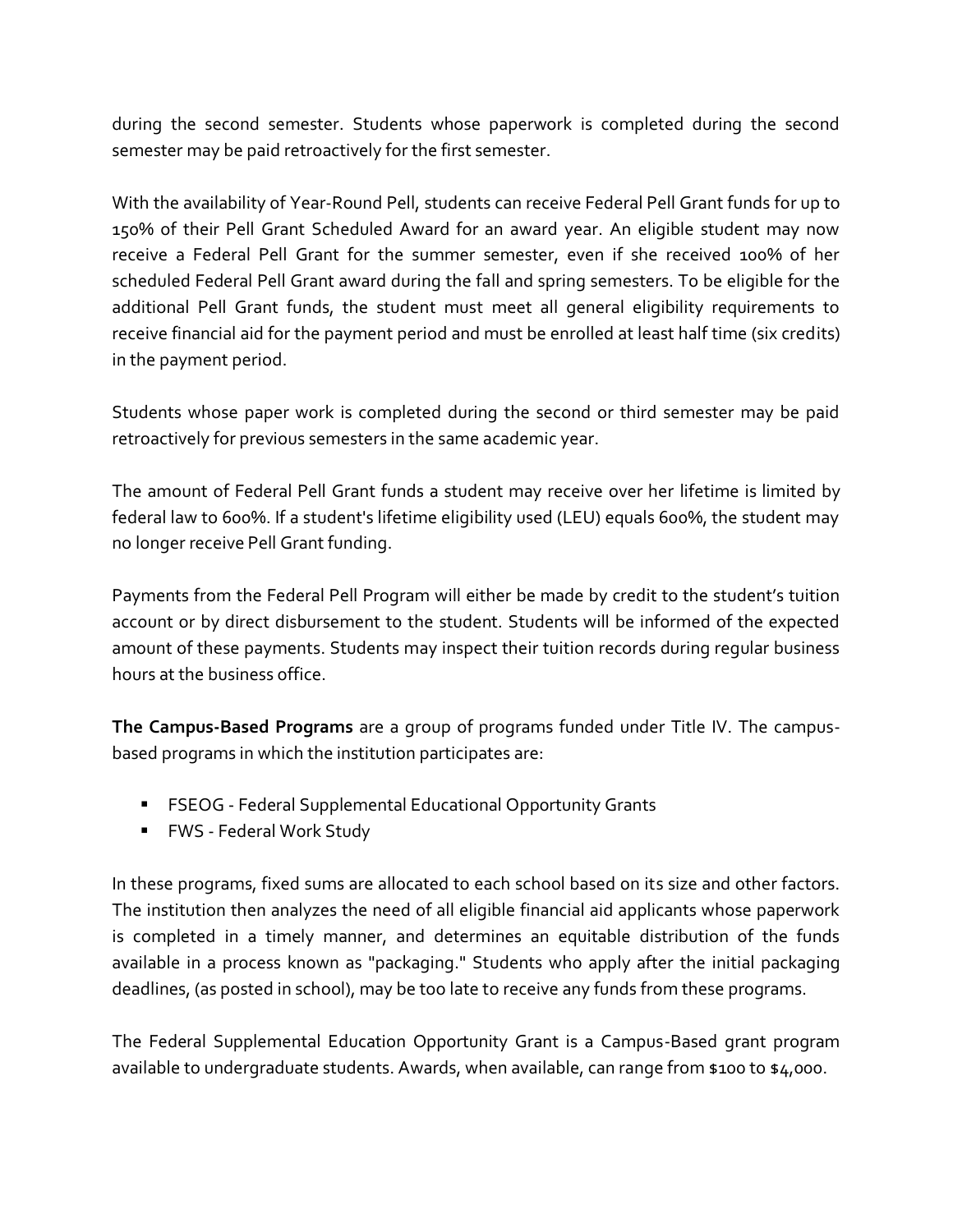during the second semester. Students whose paperwork is completed during the second semester may be paid retroactively for the first semester.

With the availability of Year-Round Pell, students can receive Federal Pell Grant funds for up to 150% of their Pell Grant Scheduled Award for an award year. An eligible student may now receive a Federal Pell Grant for the summer semester, even if she received 100% of her scheduled Federal Pell Grant award during the fall and spring semesters. To be eligible for the additional Pell Grant funds, the student must meet all general eligibility requirements to receive financial aid for the payment period and must be enrolled at least half time (six credits) in the payment period.

Students whose paper work is completed during the second or third semester may be paid retroactively for previous semesters in the same academic year.

The amount of Federal Pell Grant funds a student may receive over her lifetime is limited by federal law to 600%. If a student's lifetime eligibility used (LEU) equals 600%, the student may no longer receive Pell Grant funding.

Payments from the Federal Pell Program will either be made by credit to the student's tuition account or by direct disbursement to the student. Students will be informed of the expected amount of these payments. Students may inspect their tuition records during regular business hours at the business office.

**The Campus-Based Programs** are a group of programs funded under Title IV. The campusbased programs in which the institution participates are:

- FSEOG Federal Supplemental Educational Opportunity Grants
- FWS Federal Work Study

In these programs, fixed sums are allocated to each school based on its size and other factors. The institution then analyzes the need of all eligible financial aid applicants whose paperwork is completed in a timely manner, and determines an equitable distribution of the funds available in a process known as "packaging." Students who apply after the initial packaging deadlines, (as posted in school), may be too late to receive any funds from these programs.

The Federal Supplemental Education Opportunity Grant is a Campus-Based grant program available to undergraduate students. Awards, when available, can range from \$100 to \$4,000.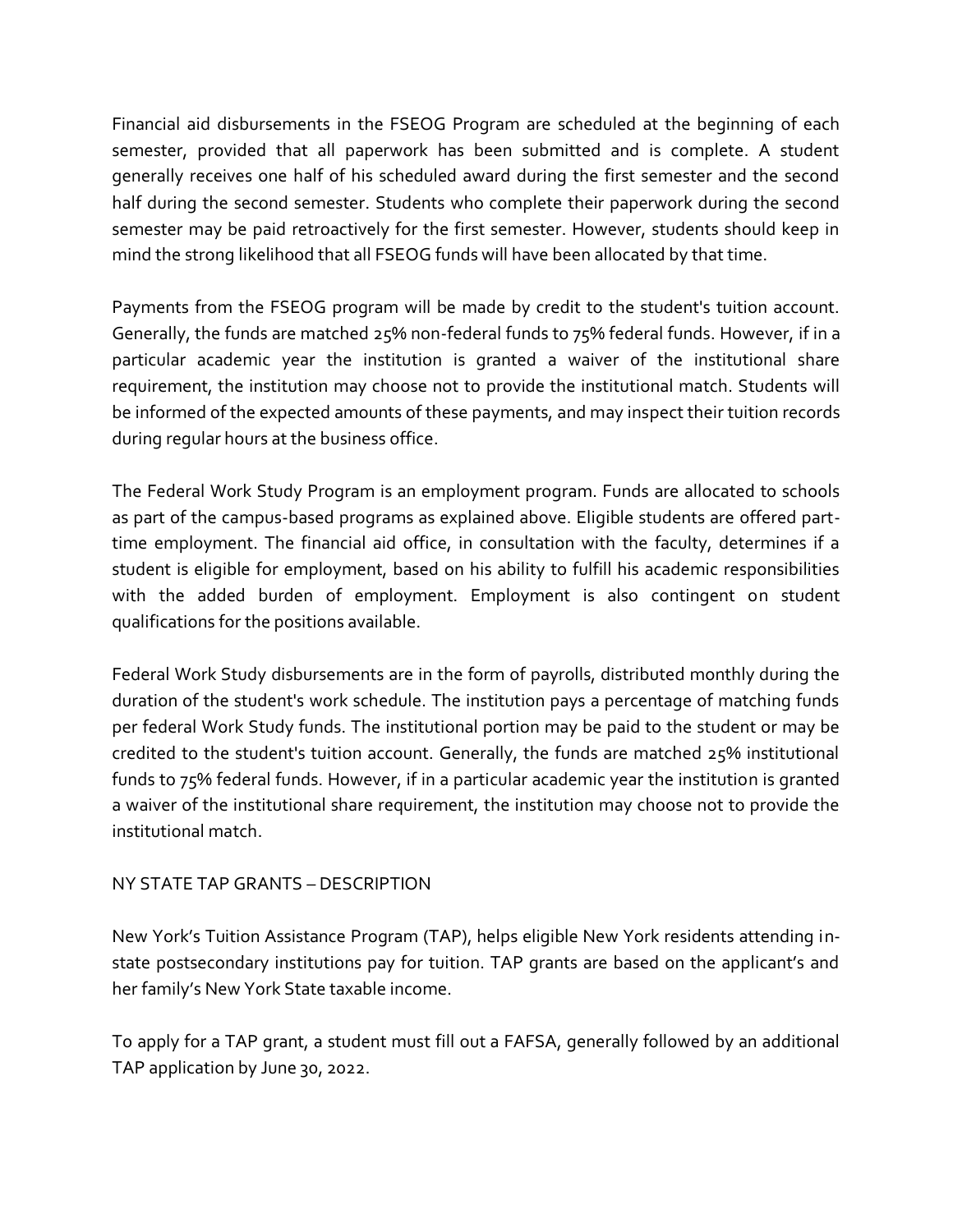Financial aid disbursements in the FSEOG Program are scheduled at the beginning of each semester, provided that all paperwork has been submitted and is complete. A student generally receives one half of his scheduled award during the first semester and the second half during the second semester. Students who complete their paperwork during the second semester may be paid retroactively for the first semester. However, students should keep in mind the strong likelihood that all FSEOG funds will have been allocated by that time.

Payments from the FSEOG program will be made by credit to the student's tuition account. Generally, the funds are matched 25% non-federal funds to 75% federal funds. However, if in a particular academic year the institution is granted a waiver of the institutional share requirement, the institution may choose not to provide the institutional match. Students will be informed of the expected amounts of these payments, and may inspect their tuition records during regular hours at the business office.

The Federal Work Study Program is an employment program. Funds are allocated to schools as part of the campus-based programs as explained above. Eligible students are offered parttime employment. The financial aid office, in consultation with the faculty, determines if a student is eligible for employment, based on his ability to fulfill his academic responsibilities with the added burden of employment. Employment is also contingent on student qualifications for the positions available.

Federal Work Study disbursements are in the form of payrolls, distributed monthly during the duration of the student's work schedule. The institution pays a percentage of matching funds per federal Work Study funds. The institutional portion may be paid to the student or may be credited to the student's tuition account. Generally, the funds are matched 25% institutional funds to 75% federal funds. However, if in a particular academic year the institution is granted a waiver of the institutional share requirement, the institution may choose not to provide the institutional match.

# NY STATE TAP GRANTS – DESCRIPTION

New York's Tuition Assistance Program (TAP), helps eligible New York residents attending instate postsecondary institutions pay for tuition. TAP grants are based on the applicant's and her family's New York State taxable income.

To apply for a TAP grant, a student must fill out a FAFSA, generally followed by an additional TAP application by June 30, 2022.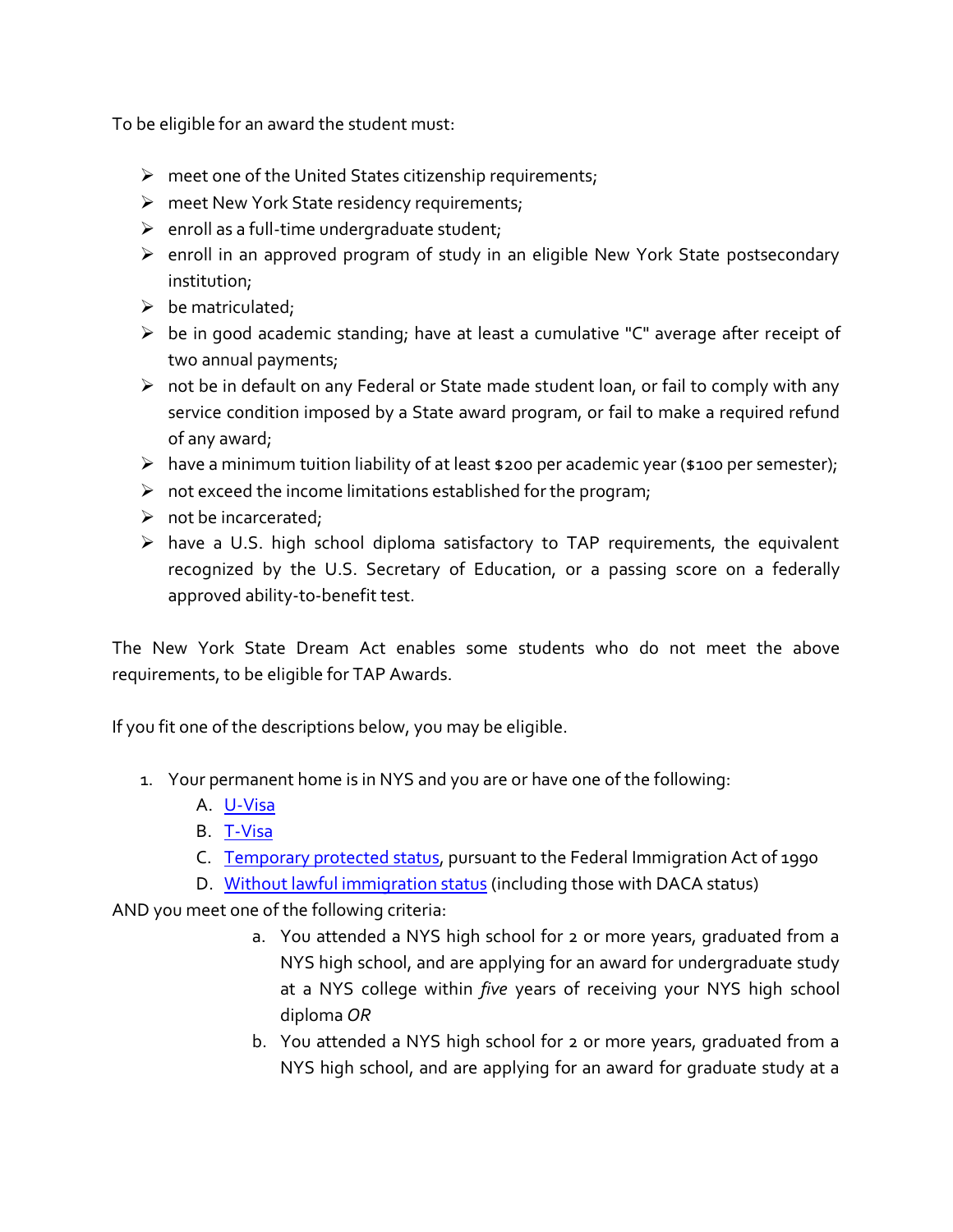To be eligible for an award the student must:

- $\triangleright$  meet one of the United States citizenship requirements;
- $\triangleright$  meet New York State residency requirements;
- $\triangleright$  enroll as a full-time undergraduate student;
- $\triangleright$  enroll in an approved program of study in an eligible New York State postsecondary institution;
- $\triangleright$  be matriculated;
- $\triangleright$  be in good academic standing; have at least a cumulative "C" average after receipt of two annual payments;
- $\triangleright$  not be in default on any Federal or State made student loan, or fail to comply with any service condition imposed by a State award program, or fail to make a required refund of any award;
- $\triangleright$  have a minimum tuition liability of at least \$200 per academic year (\$100 per semester);
- $\triangleright$  not exceed the income limitations established for the program;
- $\triangleright$  not be incarcerated;
- $\triangleright$  have a U.S. high school diploma satisfactory to TAP requirements, the equivalent recognized by the U.S. Secretary of Education, or a passing score on a federally approved ability-to-benefit test.

The New York State Dream Act enables some students who do not meet the above requirements, to be eligible for TAP Awards.

If you fit one of the descriptions below, you may be eligible.

- 1. Your permanent home is in NYS and you are or have one of the following:
	- A. [U-Visa](https://www.hesc.ny.gov/dream/#U-Visa)
	- B. [T-Visa](https://www.hesc.ny.gov/dream/#T-Visa)
	- C. [Temporary protected status,](https://www.hesc.ny.gov/dream/#TPS) pursuant to the Federal Immigration Act of 1990
	- D. [Without lawful immigration status](https://www.hesc.ny.gov/dream/#WIS) (including those with DACA status)

AND you meet one of the following criteria:

- a. You attended a NYS high school for 2 or more years, graduated from a NYS high school, and are applying for an award for undergraduate study at a NYS college within *five* years of receiving your NYS high school diploma *OR*
- b. You attended a NYS high school for 2 or more years, graduated from a NYS high school, and are applying for an award for graduate study at a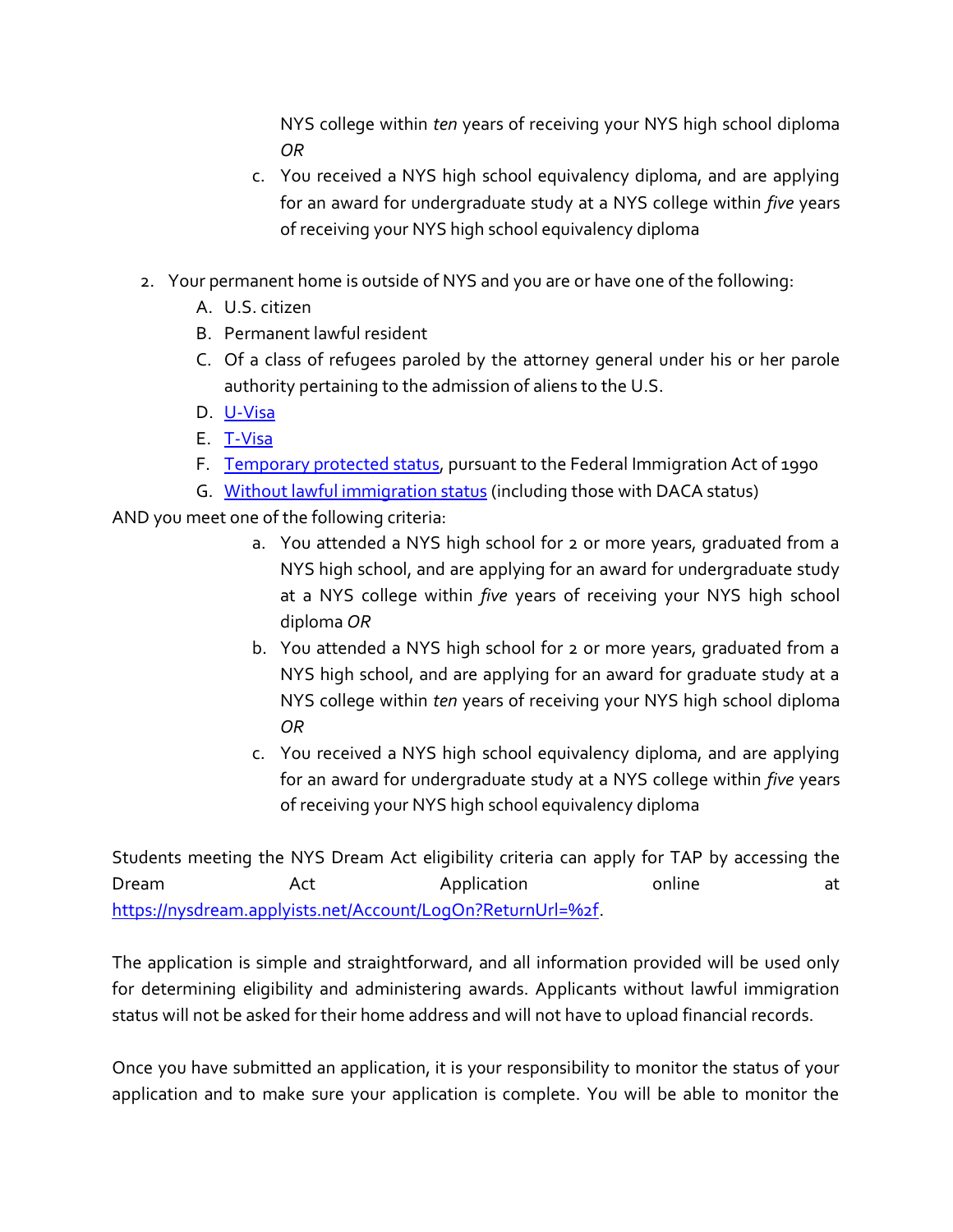NYS college within *ten* years of receiving your NYS high school diploma *OR*

- c. You received a NYS high school equivalency diploma, and are applying for an award for undergraduate study at a NYS college within *five* years of receiving your NYS high school equivalency diploma
- 2. Your permanent home is outside of NYS and you are or have one of the following:
	- A. U.S. citizen
	- B. Permanent lawful resident
	- C. Of a class of refugees paroled by the attorney general under his or her parole authority pertaining to the admission of aliens to the U.S.
	- D. [U-Visa](https://www.hesc.ny.gov/dream/#U-Visa)
	- E. [T-Visa](https://www.hesc.ny.gov/dream/#T-Visa)
	- F. [Temporary protected status,](https://www.hesc.ny.gov/dream/#TPS) pursuant to the Federal Immigration Act of 1990
	- G. [Without lawful immigration status](https://www.hesc.ny.gov/dream/#WIS) (including those with DACA status)

AND you meet one of the following criteria:

- a. You attended a NYS high school for 2 or more years, graduated from a NYS high school, and are applying for an award for undergraduate study at a NYS college within *five* years of receiving your NYS high school diploma *OR*
- b. You attended a NYS high school for 2 or more years, graduated from a NYS high school, and are applying for an award for graduate study at a NYS college within *ten* years of receiving your NYS high school diploma *OR*
- c. You received a NYS high school equivalency diploma, and are applying for an award for undergraduate study at a NYS college within *five* years of receiving your NYS high school equivalency diploma

Students meeting the NYS Dream Act eligibility criteria can apply for TAP by accessing the Dream Act Application and Act Application at [https://nysdream.applyists.net/Account/LogOn?ReturnUrl=%2f.](https://nysdream.applyists.net/Account/LogOn?ReturnUrl=%2f)

The application is simple and straightforward, and all information provided will be used only for determining eligibility and administering awards. Applicants without lawful immigration status will not be asked for their home address and will not have to upload financial records.

Once you have submitted an application, it is your responsibility to monitor the status of your application and to make sure your application is complete. You will be able to monitor the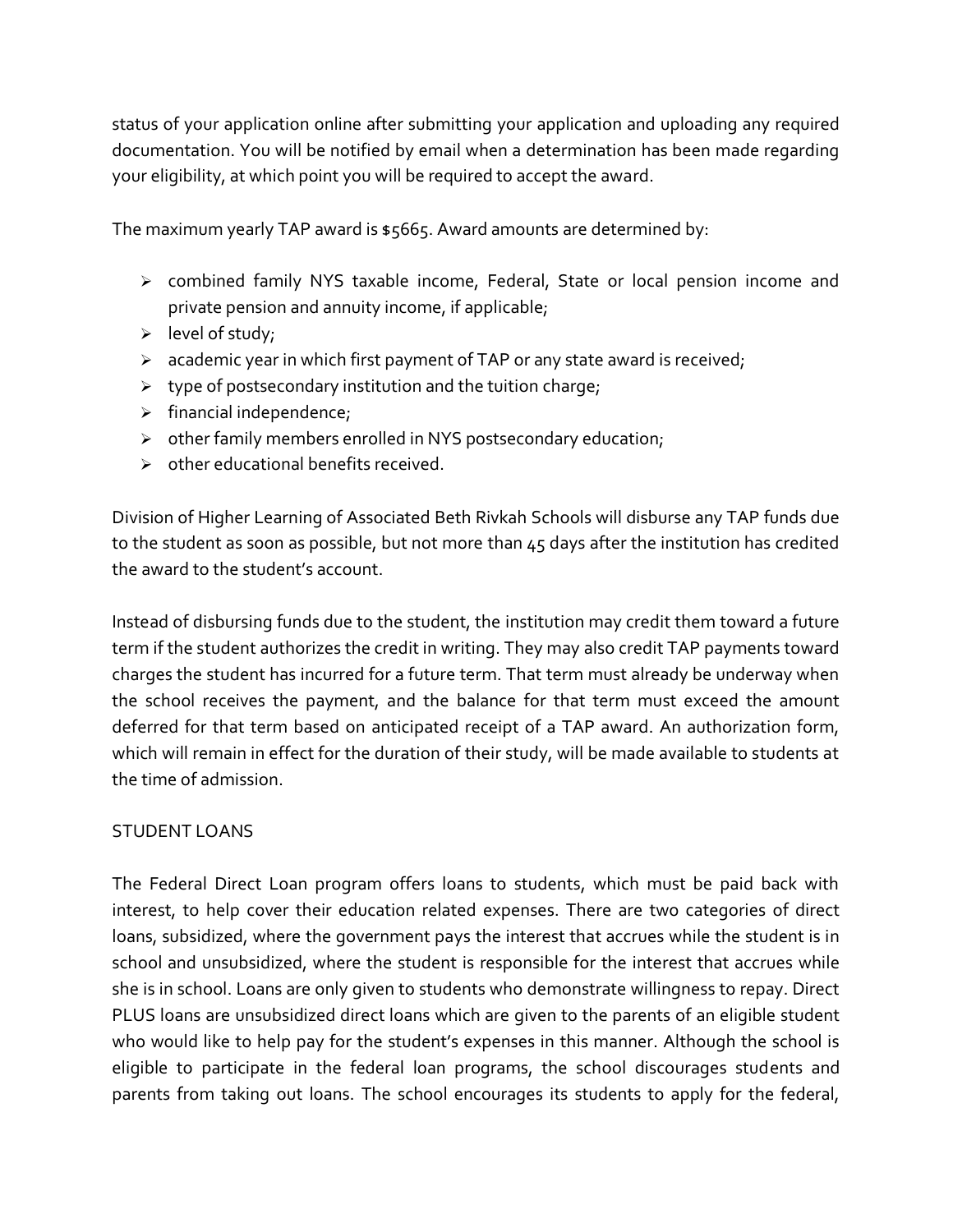status of your application online after submitting your application and uploading any required documentation. You will be notified by email when a determination has been made regarding your eligibility, at which point you will be required to accept the award.

The maximum yearly TAP award is \$5665. Award amounts are determined by:

- combined family NYS taxable income, Federal, State or local pension income and private pension and annuity income, if applicable;
- $\triangleright$  level of study;
- $\triangleright$  academic year in which first payment of TAP or any state award is received;
- $\triangleright$  type of postsecondary institution and the tuition charge;
- $\triangleright$  financial independence;
- $\triangleright$  other family members enrolled in NYS postsecondary education;
- $\triangleright$  other educational benefits received.

Division of Higher Learning of Associated Beth Rivkah Schools will disburse any TAP funds due to the student as soon as possible, but not more than 45 days after the institution has credited the award to the student's account.

Instead of disbursing funds due to the student, the institution may credit them toward a future term if the student authorizes the credit in writing. They may also credit TAP payments toward charges the student has incurred for a future term. That term must already be underway when the school receives the payment, and the balance for that term must exceed the amount deferred for that term based on anticipated receipt of a TAP award. An authorization form, which will remain in effect for the duration of their study, will be made available to students at the time of admission.

# STUDENT LOANS

The Federal Direct Loan program offers loans to students, which must be paid back with interest, to help cover their education related expenses. There are two categories of direct loans, subsidized, where the government pays the interest that accrues while the student is in school and unsubsidized, where the student is responsible for the interest that accrues while she is in school. Loans are only given to students who demonstrate willingness to repay. Direct PLUS loans are unsubsidized direct loans which are given to the parents of an eligible student who would like to help pay for the student's expenses in this manner. Although the school is eligible to participate in the federal loan programs, the school discourages students and parents from taking out loans. The school encourages its students to apply for the federal,